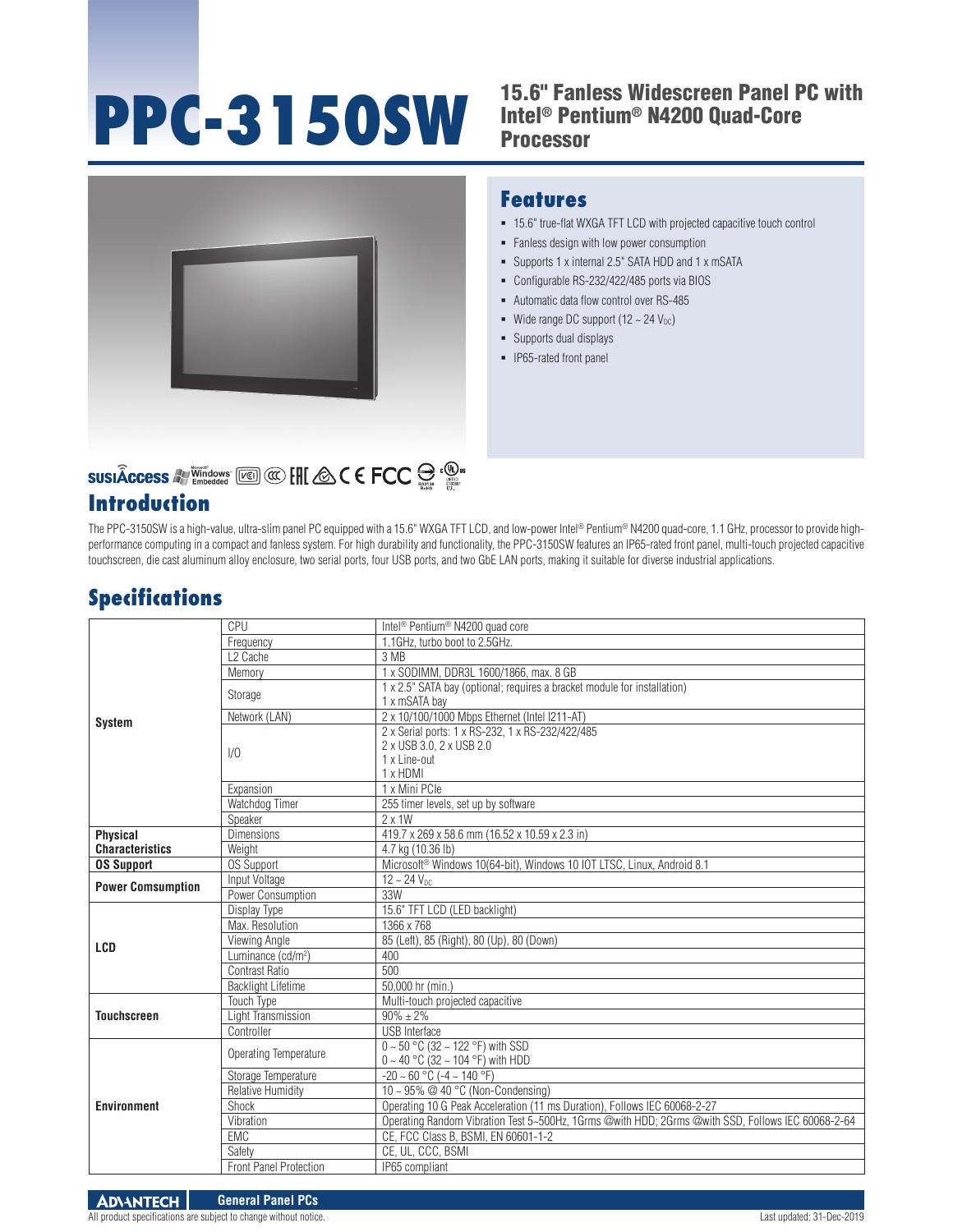# **PPC-3150SW** 15.6" Fanless Widescreen Panel PC with

# Intel® Pentium® N4200 Quad-Core Processor



# **SUSIÂCCESS All Vindows** [K] **CO** [H] **ACC C FCC**  $\bigoplus_{n=1}^{\infty}$  **C**

## **Introduction**

#### **Features**

- 15.6" true-flat WXGA TFT LCD with projected capacitive touch control
- Fanless design with low power consumption
- Supports 1 x internal 2.5" SATA HDD and 1 x mSATA
- Configurable RS-232/422/485 ports via BIOS
- Automatic data flow control over RS-485
- Wide range DC support  $(12 \sim 24 \text{ V}_{\text{DC}})$
- Supports dual displays
- **IP65-rated front panel**

The PPC-3150SW is a high-value, ultra-slim panel PC equipped with a 15.6" WXGA TFT LCD, and low-power Intel® Pentium® N4200 quad-core, 1.1 GHz, processor to provide highperformance computing in a compact and fanless system. For high durability and functionality, the PPC-3150SW features an IP65-rated front panel, multi-touch projected capacitive touchscreen, die cast aluminum alloy enclosure, two serial ports, four USB ports, and two GbE LAN ports, making it suitable for diverse industrial applications.

## **Specifications**

| <b>System</b>                             | <b>CPU</b>                     | Intel <sup>®</sup> Pentium <sup>®</sup> N4200 quad core                                                  |
|-------------------------------------------|--------------------------------|----------------------------------------------------------------------------------------------------------|
|                                           | Frequency                      | 1.1GHz, turbo boot to 2.5GHz.                                                                            |
|                                           | L <sub>2</sub> Cache           | 3 MB                                                                                                     |
|                                           | Memory                         | 1 x SODIMM, DDR3L 1600/1866, max. 8 GB                                                                   |
|                                           | Storage                        | 1 x 2.5" SATA bay (optional; requires a bracket module for installation)<br>1 x mSATA bay                |
|                                           | Network (LAN)                  | 2 x 10/100/1000 Mbps Ethernet (Intel I211-AT)                                                            |
|                                           | 1/0                            | 2 x Serial ports: 1 x RS-232, 1 x RS-232/422/485<br>2 x USB 3.0, 2 x USB 2.0<br>1 x Line-out<br>1 x HDMI |
|                                           | Expansion                      | 1 x Mini PCle                                                                                            |
|                                           | Watchdog Timer                 | 255 timer levels, set up by software                                                                     |
|                                           | Speaker                        | $2 \times 1W$                                                                                            |
| <b>Physical</b><br><b>Characteristics</b> | <b>Dimensions</b>              | 419.7 x 269 x 58.6 mm (16.52 x 10.59 x 2.3 in)                                                           |
|                                           | Weight                         | 4.7 kg (10.36 lb)                                                                                        |
| <b>OS Support</b>                         | <b>OS Support</b>              | Microsoft <sup>®</sup> Windows 10(64-bit), Windows 10 IOT LTSC, Linux, Android 8.1                       |
| <b>Power Comsumption</b>                  | Input Voltage                  | $12 - 24$ $V_{DC}$                                                                                       |
|                                           | Power Consumption              | 33W                                                                                                      |
| LCD                                       | Display Type                   | 15.6" TFT LCD (LED backlight)                                                                            |
|                                           | Max. Resolution                | 1366 x 768                                                                                               |
|                                           | Viewing Angle                  | 85 (Left), 85 (Right), 80 (Up), 80 (Down)                                                                |
|                                           | Luminance (cd/m <sup>2</sup> ) | 400                                                                                                      |
|                                           | Contrast Ratio                 | 500                                                                                                      |
|                                           | <b>Backlight Lifetime</b>      | 50,000 hr (min.)                                                                                         |
| <b>Touchscreen</b>                        | Touch Type                     | Multi-touch projected capacitive                                                                         |
|                                           | Light Transmission             | $90\% \pm 2\%$                                                                                           |
|                                           | Controller                     | <b>USB</b> Interface                                                                                     |
| <b>Environment</b>                        | Operating Temperature          | $0 \sim 50$ °C (32 ~ 122 °F) with SSD<br>0 ~ 40 °C (32 ~ 104 °F) with HDD                                |
|                                           | Storage Temperature            | $-20 \sim 60$ °C ( $-4 \sim 140$ °F)                                                                     |
|                                           | <b>Relative Humidity</b>       | 10 ~ 95% @ 40 °C (Non-Condensing)                                                                        |
|                                           | Shock                          | Operating 10 G Peak Acceleration (11 ms Duration), Follows IEC 60068-2-27                                |
|                                           | Vibration                      | Operating Random Vibration Test 5~500Hz, 1Grms @with HDD; 2Grms @with SSD, Follows IEC 60068-2-64        |
|                                           | EMC                            | CE, FCC Class B, BSMI, EN 60601-1-2                                                                      |
|                                           | Safety                         | CE, UL, CCC, BSMI                                                                                        |
|                                           | Front Panel Protection         | IP65 compliant                                                                                           |

All product specifications are subject to change without notice. Last updated: 31-Dec-2019